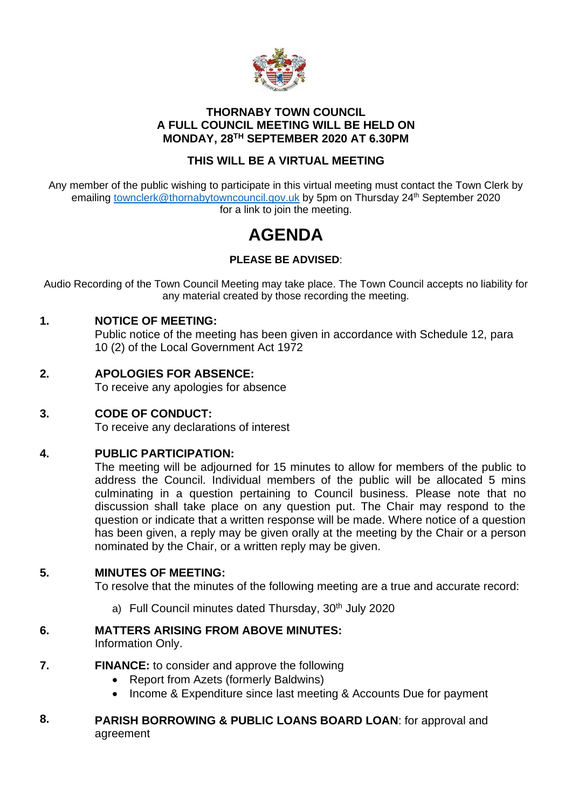

### **THORNABY TOWN COUNCIL A FULL COUNCIL MEETING WILL BE HELD ON MONDAY, 28TH SEPTEMBER 2020 AT 6.30PM**

## **THIS WILL BE A VIRTUAL MEETING**

Any member of the public wishing to participate in this virtual meeting must contact the Town Clerk by emailing [townclerk@thornabytowncouncil.gov.uk](mailto:townclerk@thornabytowncouncil.gov.uk) by 5pm on Thursday 24<sup>th</sup> September 2020 for a link to join the meeting.

# **AGENDA**

## **PLEASE BE ADVISED**:

Audio Recording of the Town Council Meeting may take place. The Town Council accepts no liability for any material created by those recording the meeting.

### **1. NOTICE OF MEETING:**

Public notice of the meeting has been given in accordance with Schedule 12, para 10 (2) of the Local Government Act 1972

### **2. APOLOGIES FOR ABSENCE:**

To receive any apologies for absence

### **3. CODE OF CONDUCT:**

To receive any declarations of interest

### **4. PUBLIC PARTICIPATION:**

The meeting will be adjourned for 15 minutes to allow for members of the public to address the Council. Individual members of the public will be allocated 5 mins culminating in a question pertaining to Council business. Please note that no discussion shall take place on any question put. The Chair may respond to the question or indicate that a written response will be made. Where notice of a question has been given, a reply may be given orally at the meeting by the Chair or a person nominated by the Chair, or a written reply may be given.

### **5. MINUTES OF MEETING:**

To resolve that the minutes of the following meeting are a true and accurate record:

a) Full Council minutes dated Thursday, 30<sup>th</sup> July 2020

#### **6. MATTERS ARISING FROM ABOVE MINUTES:**

Information Only.

- **7. FINANCE:** to consider and approve the following
	- Report from Azets (formerly Baldwins)
	- Income & Expenditure since last meeting & Accounts Due for payment

#### **8. PARISH BORROWING & PUBLIC LOANS BOARD LOAN**: for approval and agreement